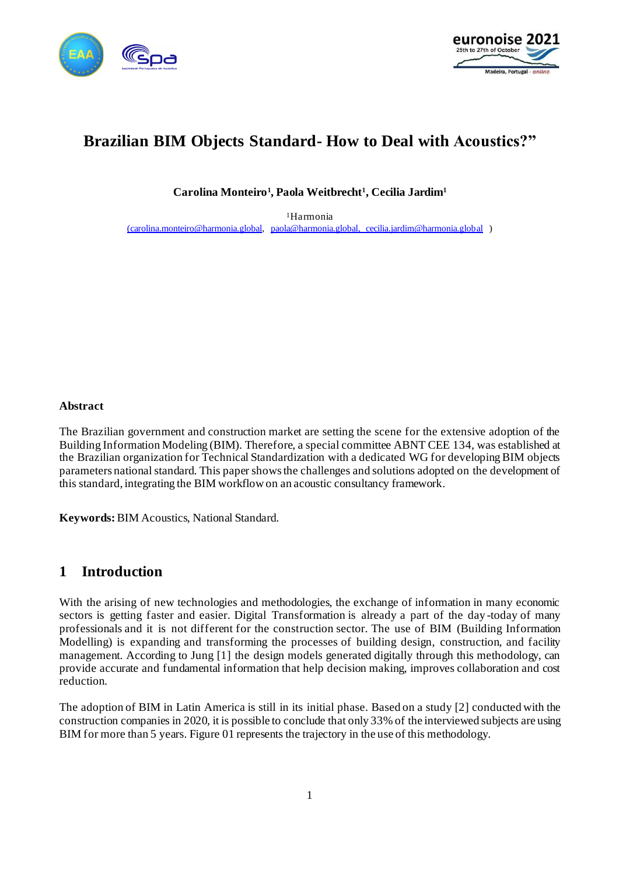



# **Brazilian BIM Objects Standard- How to Deal with Acoustics?"**

**Carolina Monteiro<sup>1</sup> , Paola Weitbrecht<sup>1</sup> , Cecilia Jardim<sup>1</sup>**

<sup>1</sup>Harmonia [\(carolina.monteiro@harmonia.global,](about:blank) [paola@harmonia.global,](mailto:paola@harmonia.global) cecilia.jardim@harmonia.global )

#### **Abstract**

The Brazilian government and construction market are setting the scene for the extensive adoption of the Building Information Modeling (BIM). Therefore, a special committee ABNT CEE 134, was established at the Brazilian organization for Technical Standardization with a dedicated WG for developing BIM objects parameters national standard. This paper shows the challenges and solutions adopted on the development of this standard, integrating the BIM workflow on an acoustic consultancy framework.

**Keywords:** BIM Acoustics, National Standard.

#### **1 Introduction**

With the arising of new technologies and methodologies, the exchange of information in many economic sectors is getting faster and easier. Digital Transformation is already a part of the day -today of many professionals and it is not different for the construction sector. The use of BIM (Building Information Modelling) is expanding and transforming the processes of building design, construction, and facility management. According to Jung [1] the design models generated digitally through this methodology, can provide accurate and fundamental information that help decision making, improves collaboration and cost reduction.

The adoption of BIM in Latin America is still in its initial phase. Based on a study [2] conducted with the construction companies in 2020, it is possible to conclude that only 33% of the interviewed subjects are using BIM for more than 5 years. Figure 01 represents the trajectory in the use of this methodology.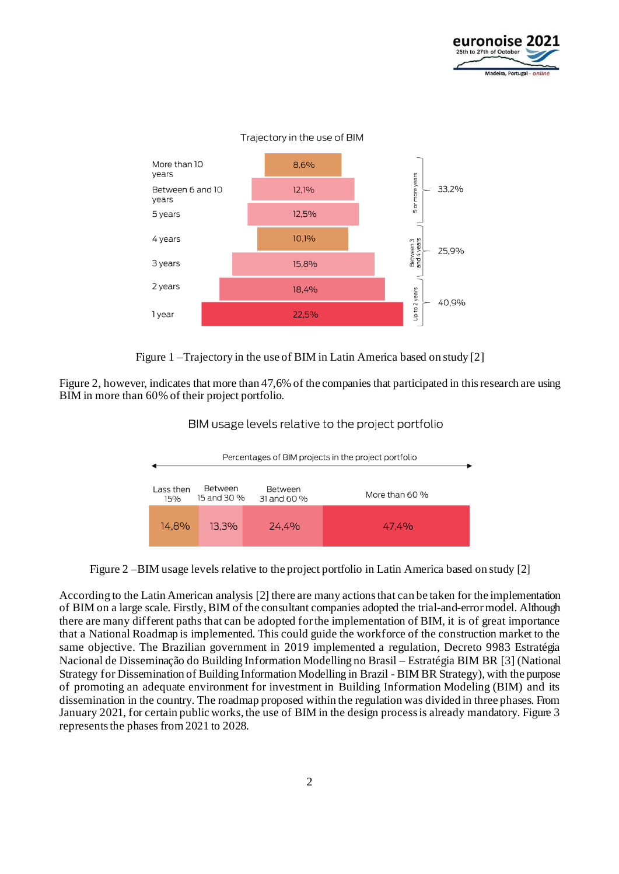



Figure 1 –Trajectory in the use of BIM in Latin America based on study [2]

Figure 2, however, indicates that more than 47,6% of the companies that participated in this research are using BIM in more than 60% of their project portfolio.



BIM usage levels relative to the project portfolio

Figure 2 –BIM usage levels relative to the project portfolio in Latin America based on study [2]

According to the Latin American analysis [2] there are many actions that can be taken for the implementation of BIM on a large scale. Firstly, BIM of the consultant companies adopted the trial-and-errormodel. Although there are many different paths that can be adopted for the implementation of BIM, it is of great importance that a National Roadmap is implemented. This could guide the workforce of the construction market to the same objective. The Brazilian government in 2019 implemented a regulation, Decreto 9983 Estratégia Nacional de Disseminação do Building Information Modelling no Brasil – Estratégia BIM BR [3] (National Strategy for Dissemination of Building Information Modelling in Brazil - BIM BR Strategy), with the purpose of promoting an adequate environment for investment in Building Information Modeling (BIM) and its dissemination in the country. The roadmap proposed within the regulation was divided in three phases. From January 2021, for certain public works, the use of BIM in the design process is already mandatory. Figure 3 represents the phases from 2021 to 2028.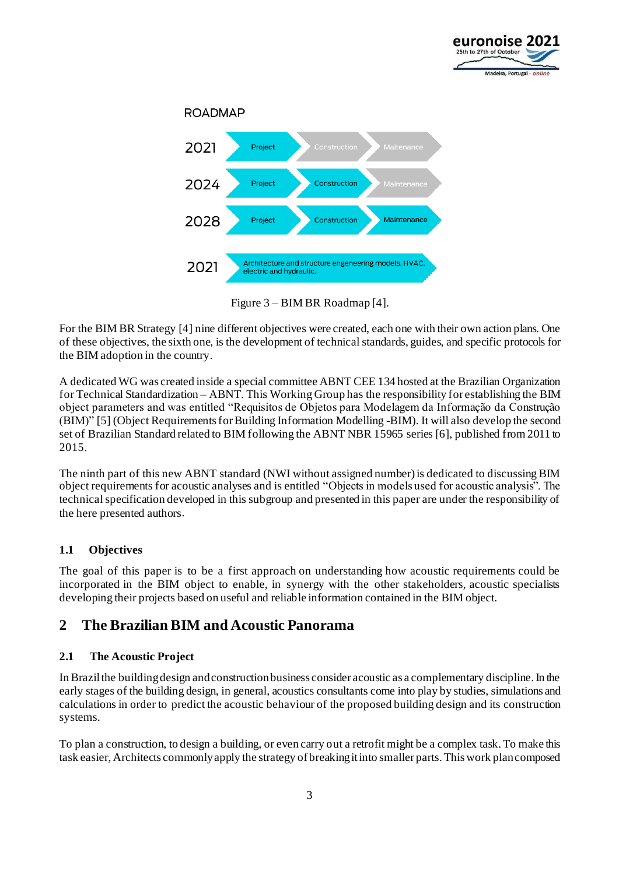



Figure 3 – BIM BR Roadmap [4].

For the BIM BR Strategy [4] nine different objectives were created, each one with their own action plans. One of these objectives, the sixth one, is the development of technical standards, guides, and specific protocols for the BIM adoption in the country.

A dedicated WG was created inside a special committee ABNT CEE 134 hosted at the Brazilian Organization for Technical Standardization – ABNT. This Working Group has the responsibility for establishing the BIM object parameters and was entitled "Requisitos de Objetos para Modelagem da Informação da Construção (BIM)" [5] (Object Requirements for Building Information Modelling -BIM). It will also develop the second set of Brazilian Standard related to BIM following the ABNT NBR 15965 series [6], published from 2011 to 2015.

The ninth part of this new ABNT standard (NWI without assigned number) is dedicated to discussing BIM object requirements for acoustic analyses and is entitled "Objects in models used for acoustic analysis". The technical specification developed in this subgroup and presented in this paper are under the responsibility of the here presented authors.

#### **1.1 Objectives**

The goal of this paper is to be a first approach on understanding how acoustic requirements could be incorporated in the BIM object to enable, in synergy with the other stakeholders, acoustic specialists developing their projects based on useful and reliable information contained in the BIM object.

## **2 The Brazilian BIM and Acoustic Panorama**

#### **2.1 The Acoustic Project**

In Brazil the building design and construction business consider acoustic as a complementary discipline. In the early stages of the building design, in general, acoustics consultants come into play by studies, simulations and calculations in order to predict the acoustic behaviour of the proposed building design and its construction systems.

To plan a construction, to design a building, or even carry out a retrofit might be a complex task. To make this task easier, Architects commonly apply the strategy of breaking it into smaller parts. This work plan composed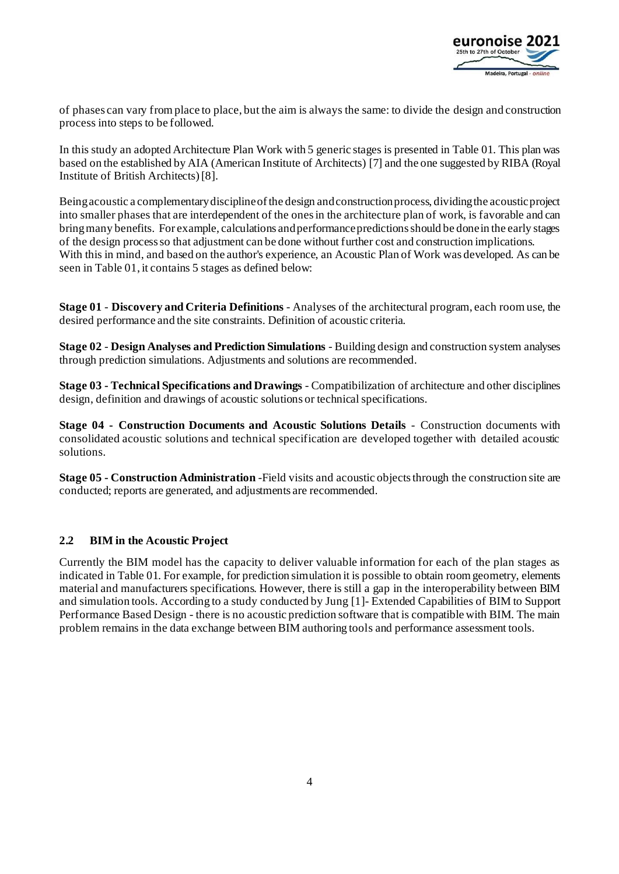

of phases can vary from place to place, but the aim is always the same: to divide the design and construction process into steps to be followed.

In this study an adopted Architecture Plan Work with 5 generic stages is presented in Table 01. This plan was based on the established by AIA (American Institute of Architects) [7] and the one suggested by RIBA (Royal Institute of British Architects)[8].

Being acoustic a complementary discipline of the design and construction process, dividing the acoustic project into smaller phases that are interdependent of the ones in the architecture plan of work, is favorable and can bring many benefits. For example, calculations and performance predictions should be done in the early stages of the design process so that adjustment can be done without further cost and construction implications. With this in mind, and based on the author's experience, an Acoustic Plan of Work was developed. As can be seen in Table 01, it contains 5 stages as defined below:

**Stage 01** - **Discovery and Criteria Definitions** - Analyses of the architectural program, each room use, the desired performance and the site constraints. Definition of acoustic criteria.

**Stage 02** - **Design Analyses and Prediction Simulations** - Building design and construction system analyses through prediction simulations. Adjustments and solutions are recommended.

**Stage 03 - Technical Specifications and Drawings** - Compatibilization of architecture and other disciplines design, definition and drawings of acoustic solutions or technical specifications.

**Stage 04 - Construction Documents and Acoustic Solutions Details** - Construction documents with consolidated acoustic solutions and technical specification are developed together with detailed acoustic solutions.

**Stage 05 - Construction Administration** -Field visits and acoustic objects through the construction site are conducted; reports are generated, and adjustments are recommended.

#### **2.2 BIM in the Acoustic Project**

Currently the BIM model has the capacity to deliver valuable information for each of the plan stages as indicated in Table 01. For example, for prediction simulation it is possible to obtain room geometry, elements material and manufacturers specifications. However, there is still a gap in the interoperability between BIM and simulation tools. According to a study conducted by Jung [1]- Extended Capabilities of BIM to Support Performance Based Design - there is no acoustic prediction software that is compatible with BIM. The main problem remains in the data exchange between BIM authoring tools and performance assessment tools.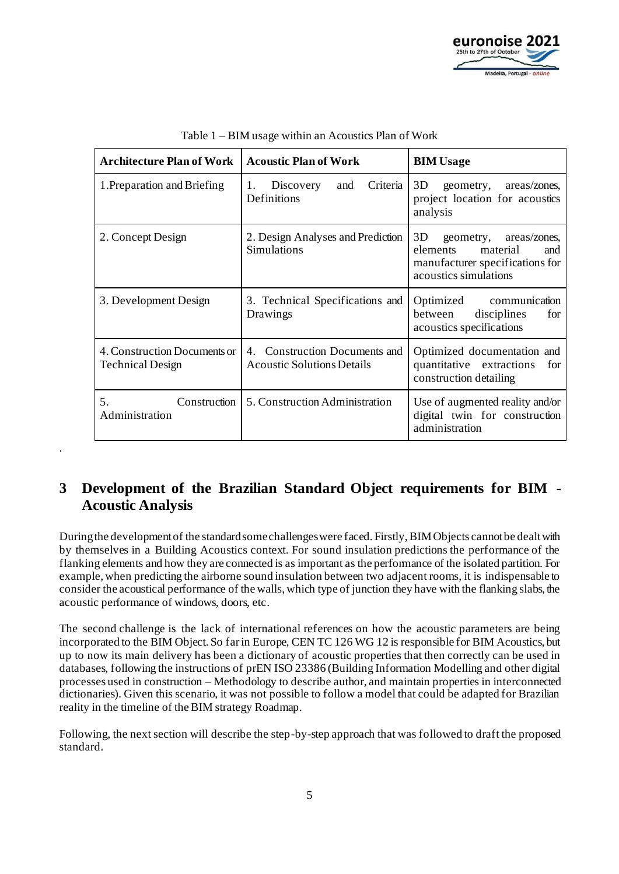

| <b>Architecture Plan of Work</b>                        | <b>Acoustic Plan of Work</b>                                       | <b>BIM</b> Usage                                                                                                        |
|---------------------------------------------------------|--------------------------------------------------------------------|-------------------------------------------------------------------------------------------------------------------------|
| 1. Preparation and Briefing                             | Discovery<br>Criteria<br>and<br>1.<br>Definitions                  | 3D<br>geometry,<br>areas/zones,<br>project location for acoustics<br>analysis                                           |
| 2. Concept Design                                       | 2. Design Analyses and Prediction<br><b>Simulations</b>            | 3D<br>geometry, areas/zones,<br>elements<br>material<br>and<br>manufacturer specifications for<br>acoustics simulations |
| 3. Development Design                                   | 3. Technical Specifications and<br>Drawings                        | Optimized communication<br>disciplines<br>between<br>for<br>acoustics specifications                                    |
| 4. Construction Documents or<br><b>Technical Design</b> | 4. Construction Documents and<br><b>Acoustic Solutions Details</b> | Optimized documentation and<br>quantitative extractions<br>for<br>construction detailing                                |
| 5.<br>Construction<br>Administration                    | 5. Construction Administration                                     | Use of augmented reality and/or<br>digital twin for construction<br>administration                                      |

Table 1 – BIM usage within an Acoustics Plan of Work

# **3 Development of the Brazilian Standard Object requirements for BIM - Acoustic Analysis**

.

During the development of the standard some challenges were faced. Firstly, BIMObjects cannot be dealt with by themselves in a Building Acoustics context. For sound insulation predictions the performance of the flanking elements and how they are connected is as important as the performance of the isolated partition. For example, when predicting the airborne sound insulation between two adjacent rooms, it is indispensable to consider the acoustical performance of the walls, which type of junction they have with the flanking slabs, the acoustic performance of windows, doors, etc.

The second challenge is the lack of international references on how the acoustic parameters are being incorporated to the BIM Object. So far in Europe, CEN TC 126 WG 12 is responsible for BIM Acoustics, but up to now its main delivery has been a dictionary of acoustic properties that then correctly can be used in databases, following the instructions of prEN ISO 23386 (Building Information Modelling and other digital processes used in construction – Methodology to describe author, and maintain properties in interconnected dictionaries). Given this scenario, it was not possible to follow a model that could be adapted for Brazilian reality in the timeline of the BIM strategy Roadmap.

Following, the next section will describe the step-by-step approach that was followed to draft the proposed standard.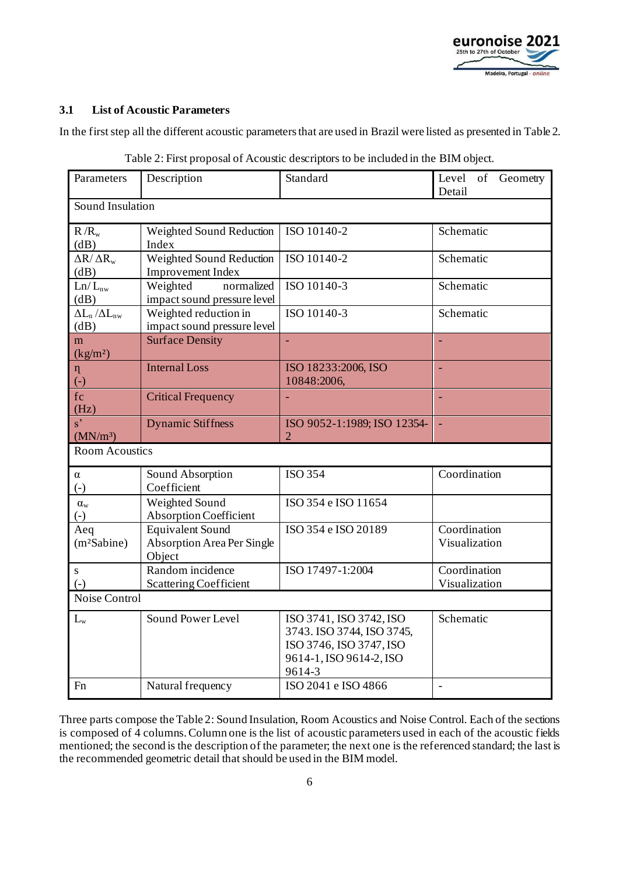

#### **3.1 List of Acoustic Parameters**

In the first step all the different acoustic parameters that are used in Brazil were listed as presented in Table 2.

| Parameters                           | Description                                                            | Standard                                                                                                             | Level<br>of Geometry<br>Detail |  |  |  |
|--------------------------------------|------------------------------------------------------------------------|----------------------------------------------------------------------------------------------------------------------|--------------------------------|--|--|--|
| Sound Insulation                     |                                                                        |                                                                                                                      |                                |  |  |  |
| $R/R_w$<br>(dB)                      | Weighted Sound Reduction<br>Index                                      | ISO 10140-2                                                                                                          | Schematic                      |  |  |  |
| $\Delta R / \Delta R_{w}$<br>(dB)    | Weighted Sound Reduction<br><b>Improvement Index</b>                   | ISO 10140-2                                                                                                          | Schematic                      |  |  |  |
| $Ln/L_{nw}$<br>(dB)                  | normalized<br>Weighted<br>impact sound pressure level                  | ISO 10140-3                                                                                                          | Schematic                      |  |  |  |
| $\Delta L_n / \Delta L_{nw}$<br>(dB) | Weighted reduction in<br>impact sound pressure level                   | ISO 10140-3                                                                                                          | Schematic                      |  |  |  |
| m<br>(kg/m <sup>2</sup> )            | <b>Surface Density</b>                                                 |                                                                                                                      | ÷,                             |  |  |  |
| $\eta$<br>$(-)$                      | <b>Internal Loss</b>                                                   | ISO 18233:2006, ISO<br>10848:2006,                                                                                   |                                |  |  |  |
| fc<br>(Hz)                           | <b>Critical Frequency</b>                                              |                                                                                                                      | ÷,                             |  |  |  |
| s'<br>(MN/m <sup>3</sup> )           | <b>Dynamic Stiffness</b>                                               | ISO 9052-1:1989; ISO 12354-<br>2                                                                                     | $\equiv$                       |  |  |  |
| <b>Room Acoustics</b>                |                                                                        |                                                                                                                      |                                |  |  |  |
| $\alpha$<br>$(-)$                    | Sound Absorption<br>Coefficient                                        | <b>ISO 354</b>                                                                                                       | Coordination                   |  |  |  |
| $\alpha_{\rm w}$<br>$(-)$            | Weighted Sound<br><b>Absorption Coefficient</b>                        | ISO 354 e ISO 11654                                                                                                  |                                |  |  |  |
| Aeq<br>(m <sup>2</sup> Sabine)       | <b>Equivalent Sound</b><br><b>Absorption Area Per Single</b><br>Object | ISO 354 e ISO 20189                                                                                                  | Coordination<br>Visualization  |  |  |  |
| S<br>$(-)$                           | Random incidence<br><b>Scattering Coefficient</b>                      | ISO 17497-1:2004                                                                                                     | Coordination<br>Visualization  |  |  |  |
| Noise Control                        |                                                                        |                                                                                                                      |                                |  |  |  |
| $L_{w}$                              | Sound Power Level                                                      | ISO 3741, ISO 3742, ISO<br>3743. ISO 3744, ISO 3745,<br>ISO 3746, ISO 3747, ISO<br>9614-1, ISO 9614-2, ISO<br>9614-3 | Schematic                      |  |  |  |
| Fn                                   | Natural frequency                                                      | ISO 2041 e ISO 4866                                                                                                  | $\overline{a}$                 |  |  |  |

Table 2: First proposal of Acoustic descriptors to be included in the BIM object.

Three parts compose the Table 2: Sound Insulation, Room Acoustics and Noise Control. Each of the sections is composed of  $\hat{4}$  columns. Column one is the list of acoustic parameters used in each of the acoustic fields mentioned; the second is the description of the parameter; the next one is the referenced standard; the last is the recommended geometric detail that should be used in the BIM model.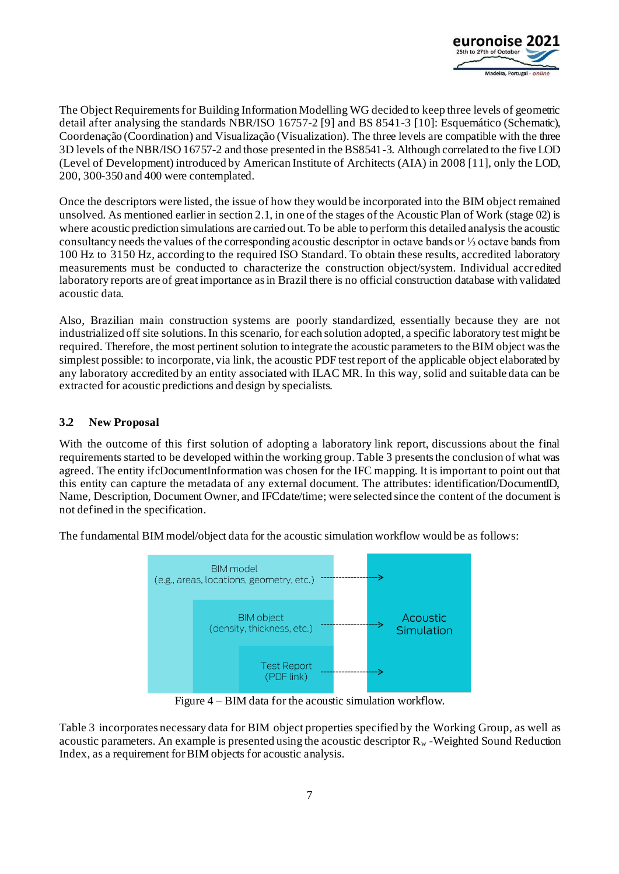

The Object Requirements for Building Information Modelling WG decided to keep three levels of geometric detail after analysing the standards NBR/ISO 16757-2 [9] and BS 8541-3 [10]: Esquemático (Schematic), Coordenação (Coordination) and Visualização (Visualization). The three levels are compatible with the three 3D levels of the NBR/ISO 16757-2 and those presented in the BS8541-3. Although correlated to the five LOD (Level of Development) introduced b[y American Institute of Architects \(AIA\)](https://www.aia.org/) in 2008 [11], only the LOD, 200, 300-350 and 400 were contemplated.

Once the descriptors were listed, the issue of how they would be incorporated into the BIM object remained unsolved. As mentioned earlier in section 2.1, in one of the stages of the Acoustic Plan of Work (stage 02) is where acoustic prediction simulations are carried out. To be able to perform this detailed analysis the acoustic consultancy needs the values of the corresponding acoustic descriptor in octave bands or ⅓ octave bands from 100 Hz to 3150 Hz, according to the required ISO Standard. To obtain these results, accredited laboratory measurements must be conducted to characterize the construction object/system. Individual accredited laboratory reports are of great importance as in Brazil there is no official construction database with validated acoustic data.

Also, Brazilian main construction systems are poorly standardized, essentially because they are not industrialized off site solutions. In this scenario, for each solution adopted, a specific laboratory test might be required. Therefore, the most pertinent solution to integrate the acoustic parameters to the BIM object was the simplest possible: to incorporate, via link, the acoustic PDF test report of the applicable object elaborated by any laboratory accredited by an entity associated with ILAC MR. In this way, solid and suitable data can be extracted for acoustic predictions and design by specialists.

#### **3.2 New Proposal**

With the outcome of this first solution of adopting a laboratory link report, discussions about the final requirements started to be developed within the working group. Table 3 presents the conclusion of what was agreed. The entity ifcDocumentInformation was chosen for the IFC mapping. It is important to point out that this entity can capture the metadata of any external document. The attributes: identification/DocumentID, Name, Description, Document Owner, and IFCdate/time; were selected since the content of the document is not defined in the specification.



The fundamental BIM model/object data for the acoustic simulation workflow would be as follows:

Figure 4 – BIM data for the acoustic simulation workflow.

Table 3 incorporates necessary data for BIM object properties specified by the Working Group, as well as acoustic parameters. An example is presented using the acoustic descriptor  $R_w$  -Weighted Sound Reduction Index, as a requirement for BIM objects for acoustic analysis.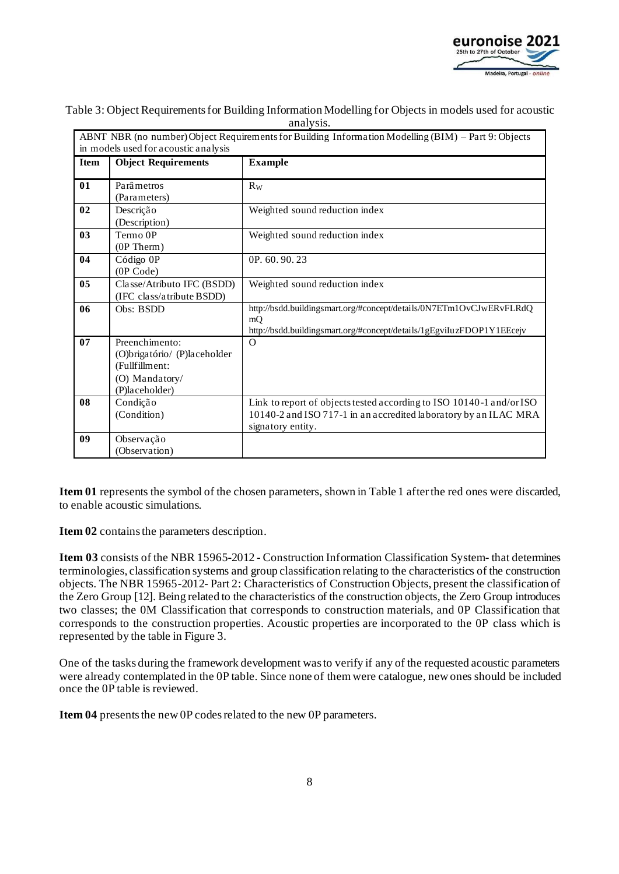

|             | in models used for acoustic analysis                                                                 | ABNT NBR (no number) Object Requirements for Building Information Modelling (BIM) – Part 9: Objects                                                           |
|-------------|------------------------------------------------------------------------------------------------------|---------------------------------------------------------------------------------------------------------------------------------------------------------------|
| <b>Item</b> | <b>Object Requirements</b>                                                                           | <b>Example</b>                                                                                                                                                |
| 01          | Parâmetros<br>(Parameters)                                                                           | $R_{W}$                                                                                                                                                       |
| 02          | Descrição<br>(Description)                                                                           | Weighted sound reduction index                                                                                                                                |
| 03          | Termo 0P<br>(0P Therm)                                                                               | Weighted sound reduction index                                                                                                                                |
| 04          | Código 0P<br>(0P Code)                                                                               | 0P. 60.90.23                                                                                                                                                  |
| 05          | Classe/Atributo IFC (BSDD)<br>(IFC class/atribute BSDD)                                              | Weighted sound reduction index                                                                                                                                |
| 06          | Obs: BSDD                                                                                            | http://bsdd.buildingsmart.org/#concept/details/0N7ETm1OvCJwERvFLRdQ<br>mQ<br>http://bsdd.buildingsmart.org/#concept/details/1gEgviIuzFDOP1Y1EEcejv            |
| 07          | Preenchimento:<br>(O)brigatório/ (P)laceholder<br>(Fullfillment:<br>(O) Mandatory/<br>(P)laceholder) | $\Omega$                                                                                                                                                      |
| 08          | Condição<br>(Condition)                                                                              | Link to report of objects tested according to ISO 10140-1 and/or ISO<br>10140-2 and ISO 717-1 in an accredited laboratory by an ILAC MRA<br>signatory entity. |
| 09          | Observação<br>(Observation)                                                                          |                                                                                                                                                               |

Table 3: Object Requirements for Building Information Modelling for Objects in models used for acoustic analysis.

**Item 01** represents the symbol of the chosen parameters, shown in Table 1 after the red ones were discarded, to enable acoustic simulations.

**Item 02** contains the parameters description.

**Item 03** consists of the NBR 15965-2012 - Construction Information Classification System- that determines terminologies, classification systems and group classification relating to the characteristics of the construction objects. The NBR 15965-2012- Part 2: Characteristics of Construction Objects, present the classification of the Zero Group [12]. Being related to the characteristics of the construction objects, the Zero Group introduces two classes; the 0M Classification that corresponds to construction materials, and 0P Classification that corresponds to the construction properties. Acoustic properties are incorporated to the 0P class which is represented by the table in Figure 3.

One of the tasks during the framework development was to verify if any of the requested acoustic parameters were already contemplated in the 0P table. Since none of them were catalogue, new ones should be included once the 0P table is reviewed.

**Item 04** presents the new 0P codes related to the new 0P parameters.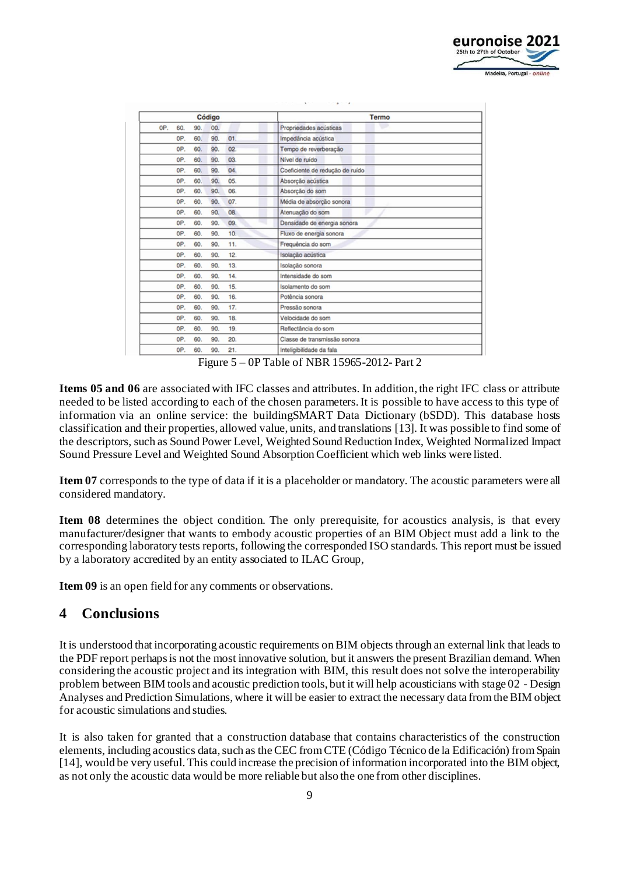

| Código |     |     |     |     | <b>Termo</b>                    |  |
|--------|-----|-----|-----|-----|---------------------------------|--|
| OP.    | 60. | 90. | 00. |     | Propriedades acústicas          |  |
|        | OP. | 60. | 90. | 01. | Impedância acústica             |  |
|        | OP. | 60. | 90. | 02. | Tempo de reverberação           |  |
|        | OP. | 60. | 90. | 03. | Nível de ruído                  |  |
|        | OP. | 60. | 90. | 04. | Coeficiente de redução de ruído |  |
|        | OP. | 60. | 90. | 05. | Absorção acústica               |  |
|        | OP. | 60. | 90. | 06. | Absorção do som                 |  |
|        | OP. | 60. | 90. | 07. | Média de absorção sonora        |  |
|        | OP. | 60. | 90. | 08. | Atenuação do som                |  |
|        | OP. | 60. | 90. | 09. | Densidade de energia sonora     |  |
|        | OP. | 60. | 90. | 10. | Fluxo de energia sonora         |  |
|        | OP. | 60. | 90. | 11. | Frequência do som               |  |
|        | OP. | 60. | 90. | 12. | Isolação acústica               |  |
|        | OP. | 60. | 90. | 13. | Isolação sonora                 |  |
|        | OP. | 60. | 90. | 14. | Intensidade do som              |  |
|        | OP. | 60. | 90. | 15. | Isolamento do som               |  |
|        | OP. | 60. | 90. | 16. | Potência sonora                 |  |
|        | OP. | 60. | 90. | 17. | Pressão sonora                  |  |
|        | OP. | 60. | 90. | 18. | Velocidade do som               |  |
|        | OP. | 60. | 90. | 19. | Reflectância do som             |  |
|        | OP. | 60. | 90. | 20. | Classe de transmissão sonora    |  |
|        | OP. | 60. | 90. | 21. | Inteligibilidade da fala        |  |

Figure 5 – 0P Table of NBR 15965-2012- Part 2

**Items 05 and 06** are associated with IFC classes and attributes. In addition, the right IFC class or attribute needed to be listed according to each of the chosen parameters. It is possible to have access to this type of information via an online service: the buildingSMART Data Dictionary (bSDD). This database hosts classification and their properties, allowed value, units, and translations [13]. It was possible to find some of the descriptors, such as Sound Power Level, Weighted Sound Reduction Index, Weighted Normalized Impact Sound Pressure Level and Weighted Sound Absorption Coefficient which web links were listed.

**Item 07** corresponds to the type of data if it is a placeholder or mandatory. The acoustic parameters were all considered mandatory.

**Item 08** determines the object condition. The only prerequisite, for acoustics analysis, is that every manufacturer/designer that wants to embody acoustic properties of an BIM Object must add a link to the corresponding laboratory tests reports, following the corresponded ISO standards. This report must be issued by a laboratory accredited by an entity associated to ILAC Group,

**Item 09** is an open field for any comments or observations.

### **4 Conclusions**

It is understood that incorporating acoustic requirements on BIM objects through an external link that leads to the PDF report perhaps is not the most innovative solution, but it answers the present Brazilian demand. When considering the acoustic project and its integration with BIM, this result does not solve the interoperability problem between BIM tools and acoustic prediction tools, but it will help acousticians with stage 02 - Design Analyses and Prediction Simulations, where it will be easier to extract the necessary data from the BIM object for acoustic simulations and studies.

It is also taken for granted that a construction database that contains characteristics of the construction elements, including acoustics data, such as the CEC from CTE (Código Técnico de la Edificación) from Spain [14], would be very useful. This could increase the precision of information incorporated into the BIM object, as not only the acoustic data would be more reliable but also the one from other disciplines.